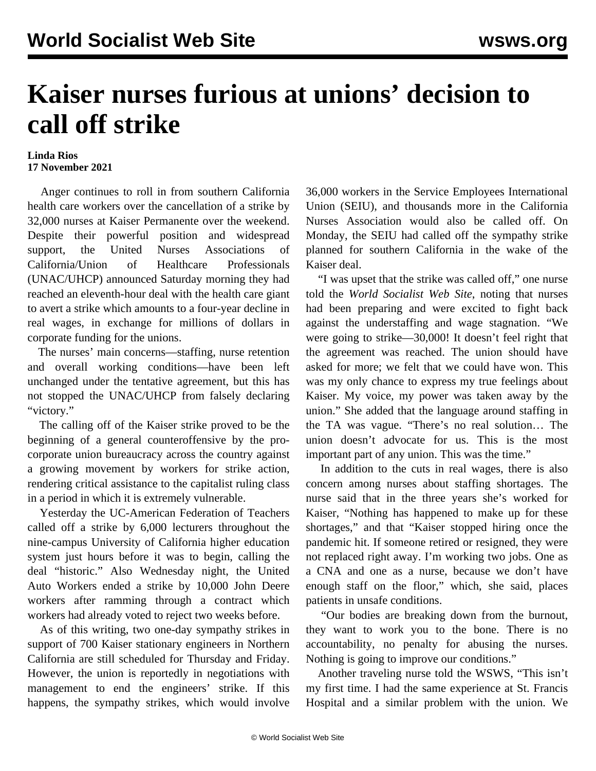## **Kaiser nurses furious at unions' decision to call off strike**

## **Linda Rios 17 November 2021**

 Anger continues to roll in from southern California health care workers over the cancellation of a strike by 32,000 nurses at Kaiser Permanente over the weekend. Despite their powerful position and widespread support, the United Nurses Associations of California/Union of Healthcare Professionals (UNAC/UHCP) announced Saturday morning they had reached an eleventh-hour deal with the health care giant to avert a strike which amounts to a four-year [decline](/en/articles/2021/11/17/tent-n17.html) in real wages, in exchange for millions of dollars in corporate funding for the unions.

 The nurses' main concerns—staffing, nurse retention and overall working conditions—have been left unchanged under the tentative agreement, but this has not stopped the UNAC/UHCP from falsely declaring "victory."

 The calling off of the Kaiser strike proved to be the beginning of a general counteroffensive by the procorporate union bureaucracy across the country against a growing movement by workers for strike action, rendering critical assistance to the capitalist ruling class in a period in which it is extremely vulnerable.

 Yesterday the UC-American Federation of Teachers called off a strike by 6,000 lecturers throughout the nine-campus University of California higher education system just hours before it was to begin, calling the deal "historic." Also Wednesday night, the United Auto Workers ended a strike by 10,000 John Deere workers after ramming through a contract which workers had already voted to reject two weeks before.

 As of this writing, two one-day sympathy strikes in support of 700 Kaiser stationary engineers in Northern California are still scheduled for Thursday and Friday. However, the union is reportedly in negotiations with management to end the engineers' strike. If this happens, the sympathy strikes, which would involve

36,000 workers in the Service Employees International Union (SEIU), and thousands more in the California Nurses Association would also be called off. On Monday, the SEIU had called off the sympathy strike planned for southern California in the wake of the Kaiser deal.

 "I was upset that the strike was called off," one nurse told the *World Socialist Web Site*, noting that nurses had been preparing and were excited to fight back against the understaffing and wage stagnation. "We were going to strike—30,000! It doesn't feel right that the agreement was reached. The union should have asked for more; we felt that we could have won. This was my only chance to express my true feelings about Kaiser. My voice, my power was taken away by the union." She added that the language around staffing in the TA was vague. "There's no real solution… The union doesn't advocate for us. This is the most important part of any union. This was the time."

 In addition to the cuts in real wages, there is also concern among nurses about staffing shortages. The nurse said that in the three years she's worked for Kaiser, "Nothing has happened to make up for these shortages," and that "Kaiser stopped hiring once the pandemic hit. If someone retired or resigned, they were not replaced right away. I'm working two jobs. One as a CNA and one as a nurse, because we don't have enough staff on the floor," which, she said, places patients in unsafe conditions.

 "Our bodies are breaking down from the burnout, they want to work you to the bone. There is no accountability, no penalty for abusing the nurses. Nothing is going to improve our conditions."

 Another traveling nurse told the WSWS, "This isn't my first time. I had the same experience at St. Francis Hospital and a similar problem with the union. We